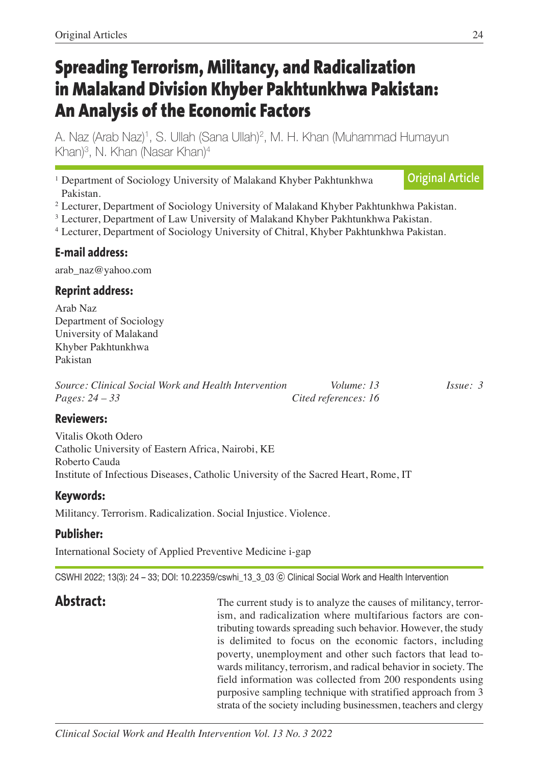# **Spreading Terrorism, Militancy, and Radicalization in Malakand Division Khyber Pakhtunkhwa Pakistan: An Analysis of the Economic Factors**

A. Naz (Arab Naz) 1, S. Ullah (Sana Ullah) 2, M. H. Khan (Muhammad Humayun Khan) 3, N. Khan (Nasar Khan) 4

<sup>1</sup> Department of Sociology University of Malakand Khyber Pakhtunkhwa Pakistan. **Original Article**

<sup>2</sup> Lecturer, Department of Sociology University of Malakand Khyber Pakhtunkhwa Pakistan.

<sup>3</sup> Lecturer, Department of Law University of Malakand Khyber Pakhtunkhwa Pakistan.

<sup>4</sup> Lecturer, Department of Sociology University of Chitral, Khyber Pakhtunkhwa Pakistan.

#### **E-mail address:**

arab\_naz@yahoo.com

#### **Reprint address:**

Arab Naz Department of Sociology University of Malakand Khyber Pakhtunkhwa Pakistan

| Source: Clinical Social Work and Health Intervention | Volume: 13           | $I_{S51}$ $\approx$ 3 |
|------------------------------------------------------|----------------------|-----------------------|
| <i>Pages:</i> $24 - 33$                              | Cited references: 16 |                       |

#### **Reviewers:**

Vitalis Okoth Odero Catholic University of Eastern Africa, Nairobi, KE Roberto Cauda Institute of Infectious Diseases, Catholic University of the Sacred Heart, Rome, IT

#### **Keywords:**

Militancy. Terrorism. Radicalization. Social Injustice. Violence.

#### **Publisher:**

International Society of Applied Preventive Medicine i-gap

CSWHI 2022; 13(3): 24 – 33; DOI: 10.22359/cswhi\_13\_3\_03 ⓒ Clinical Social Work and Health Intervention

Abstract: The current study is to analyze the causes of militancy, terrorism, and radicalization where multifarious factors are contributing towards spreading such behavior. However, the study is delimited to focus on the economic factors, including poverty, unemployment and other such factors that lead towards militancy, terrorism, and radical behavior in society. The field information was collected from 200 respondents using purposive sampling technique with stratified approach from 3 strata of the society including businessmen, teachers and clergy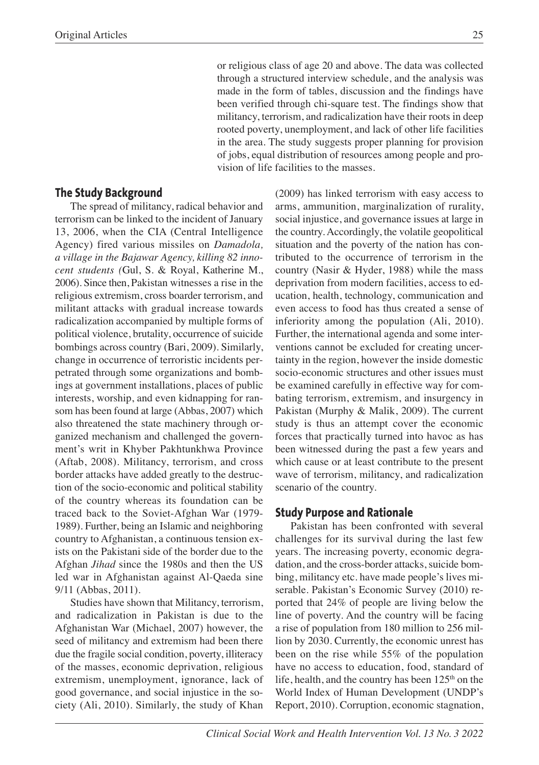or religious class of age 20 and above. The data was collected through a structured interview schedule, and the analysis was made in the form of tables, discussion and the findings have been verified through chi-square test. The findings show that militancy, terrorism, and radicalization have their roots in deep rooted poverty, unemployment, and lack of other life facilities in the area. The study suggests proper planning for provision of jobs, equal distribution of resources among people and provision of life facilities to the masses.

#### **The Study Background**

The spread of militancy, radical behavior and terrorism can be linked to the incident of January 13, 2006, when the CIA (Central Intelligence Agency) fired various missiles on *Damadola, a village in the Bajawar Agency, killing 82 innocent students (*Gul, S. & Royal, Katherine M., 2006). Since then, Pakistan witnesses a rise in the religious extremism, cross boarder terrorism, and militant attacks with gradual increase towards radicalization accompanied by multiple forms of political violence, brutality, occurrence of suicide bombings across country (Bari, 2009). Similarly, change in occurrence of terroristic incidents perpetrated through some organizations and bombings at government installations, places of public interests, worship, and even kidnapping for ransom has been found at large (Abbas, 2007) which also threatened the state machinery through organized mechanism and challenged the government's writ in Khyber Pakhtunkhwa Province (Aftab, 2008). Militancy, terrorism, and cross border attacks have added greatly to the destruction of the socio-economic and political stability of the country whereas its foundation can be traced back to the Soviet-Afghan War (1979- 1989). Further, being an Islamic and neighboring country to Afghanistan, a continuous tension exists on the Pakistani side of the border due to the Afghan *Jihad* since the 1980s and then the US led war in Afghanistan against Al-Qaeda sine 9/11 (Abbas, 2011).

Studies have shown that Militancy, terrorism, and radicalization in Pakistan is due to the Afghanistan War (Michael, 2007) however, the seed of militancy and extremism had been there due the fragile social condition, poverty, illiteracy of the masses, economic deprivation, religious extremism, unemployment, ignorance, lack of good governance, and social injustice in the society (Ali, 2010). Similarly, the study of Khan

(2009) has linked terrorism with easy access to arms, ammunition, marginalization of rurality, social injustice, and governance issues at large in the country. Accordingly, the volatile geopolitical situation and the poverty of the nation has contributed to the occurrence of terrorism in the country (Nasir & Hyder, 1988) while the mass deprivation from modern facilities, access to education, health, technology, communication and even access to food has thus created a sense of inferiority among the population (Ali, 2010). Further, the international agenda and some interventions cannot be excluded for creating uncertainty in the region, however the inside domestic socio-economic structures and other issues must be examined carefully in effective way for combating terrorism, extremism, and insurgency in Pakistan (Murphy & Malik, 2009). The current study is thus an attempt cover the economic forces that practically turned into havoc as has been witnessed during the past a few years and which cause or at least contribute to the present wave of terrorism, militancy, and radicalization scenario of the country.

#### **Study Purpose and Rationale**

Pakistan has been confronted with several challenges for its survival during the last few years. The increasing poverty, economic degradation, and the cross-border attacks, suicide bombing, militancy etc. have made people's lives miserable. Pakistan's Economic Survey (2010) reported that 24% of people are living below the line of poverty. And the country will be facing a rise of population from 180 million to 256 million by 2030. Currently, the economic unrest has been on the rise while 55% of the population have no access to education, food, standard of life, health, and the country has been  $125<sup>th</sup>$  on the World Index of Human Development (UNDP's Report, 2010). Corruption, economic stagnation,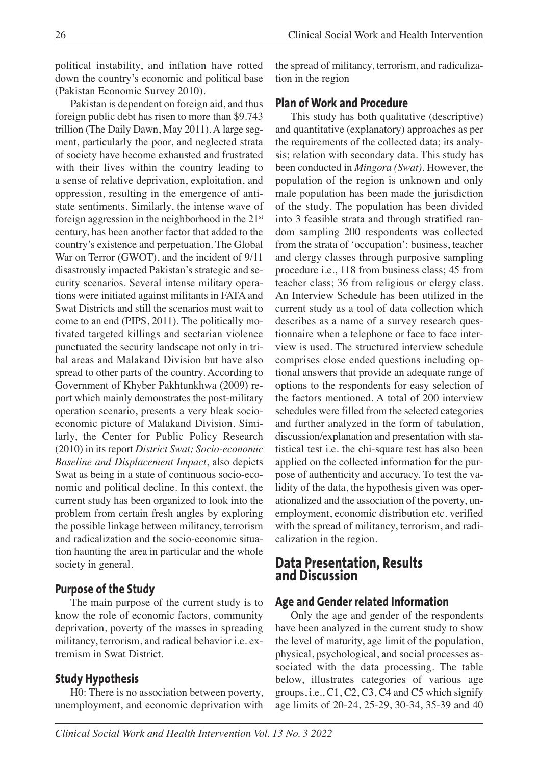political instability, and inflation have rotted down the country's economic and political base (Pakistan Economic Survey 2010).

Pakistan is dependent on foreign aid, and thus foreign public debt has risen to more than \$9.743 trillion (The Daily Dawn, May 2011). A large segment, particularly the poor, and neglected strata of society have become exhausted and frustrated with their lives within the country leading to a sense of relative deprivation, exploitation, and oppression, resulting in the emergence of antistate sentiments. Similarly, the intense wave of foreign aggression in the neighborhood in the  $21<sup>st</sup>$ century, has been another factor that added to the country's existence and perpetuation. The Global War on Terror (GWOT), and the incident of 9/11 disastrously impacted Pakistan's strategic and security scenarios. Several intense military operations were initiated against militants in FATA and Swat Districts and still the scenarios must wait to come to an end (PIPS, 2011). The politically motivated targeted killings and sectarian violence punctuated the security landscape not only in tribal areas and Malakand Division but have also spread to other parts of the country. According to Government of Khyber Pakhtunkhwa (2009) report which mainly demonstrates the post-military operation scenario, presents a very bleak socioeconomic picture of Malakand Division. Similarly, the Center for Public Policy Research (2010) in its report *District Swat; Socio-economic Baseline and Displacement Impact*, also depicts Swat as being in a state of continuous socio-economic and political decline. In this context, the current study has been organized to look into the problem from certain fresh angles by exploring the possible linkage between militancy, terrorism and radicalization and the socio-economic situation haunting the area in particular and the whole society in general.

#### **Purpose of the Study**

The main purpose of the current study is to know the role of economic factors, community deprivation, poverty of the masses in spreading militancy, terrorism, and radical behavior i.e. extremism in Swat District.

#### **Study Hypothesis**

H0: There is no association between poverty, unemployment, and economic deprivation with the spread of militancy, terrorism, and radicalization in the region

#### **Plan of Work and Procedure**

This study has both qualitative (descriptive) and quantitative (explanatory) approaches as per the requirements of the collected data; its analysis; relation with secondary data. This study has been conducted in *Mingora (Swat)*. However, the population of the region is unknown and only male population has been made the jurisdiction of the study. The population has been divided into 3 feasible strata and through stratified random sampling 200 respondents was collected from the strata of 'occupation': business, teacher and clergy classes through purposive sampling procedure i.e., 118 from business class; 45 from teacher class; 36 from religious or clergy class. An Interview Schedule has been utilized in the current study as a tool of data collection which describes as a name of a survey research questionnaire when a telephone or face to face interview is used. The structured interview schedule comprises close ended questions including optional answers that provide an adequate range of options to the respondents for easy selection of the factors mentioned. A total of 200 interview schedules were filled from the selected categories and further analyzed in the form of tabulation, discussion/explanation and presentation with statistical test i.e. the chi-square test has also been applied on the collected information for the purpose of authenticity and accuracy. To test the validity of the data, the hypothesis given was operationalized and the association of the poverty, unemployment, economic distribution etc. verified with the spread of militancy, terrorism, and radicalization in the region.

# **Data Presentation, Results and Discussion**

#### **Age and Gender related Information**

Only the age and gender of the respondents have been analyzed in the current study to show the level of maturity, age limit of the population, physical, psychological, and social processes associated with the data processing. The table below, illustrates categories of various age groups, i.e., C1, C2, C3, C4 and C5 which signify age limits of 20-24, 25-29, 30-34, 35-39 and 40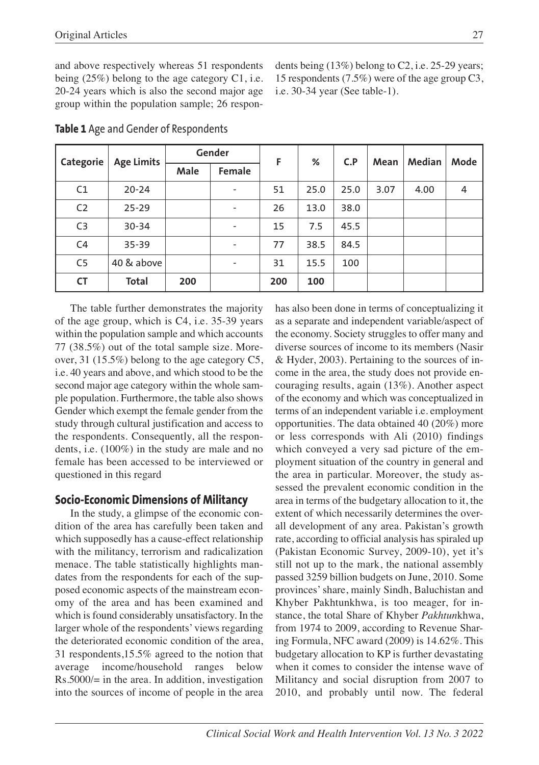and above respectively whereas 51 respondents being (25%) belong to the age category C1, i.e. 20-24 years which is also the second major age group within the population sample; 26 respondents being (13%) belong to C2, i.e. 25-29 years; 15 respondents (7.5%) were of the age group C3, i.e. 30-34 year (See table-1).

| Categorie      | <b>Age Limits</b> |      | Gender                   |     | F<br>% | C.P  | Mean | Median | Mode |
|----------------|-------------------|------|--------------------------|-----|--------|------|------|--------|------|
|                |                   | Male | <b>Female</b>            |     |        |      |      |        |      |
| C1             | $20 - 24$         |      | $\overline{\phantom{a}}$ | 51  | 25.0   | 25.0 | 3.07 | 4.00   | 4    |
| C <sub>2</sub> | $25 - 29$         |      | $\overline{\phantom{a}}$ | 26  | 13.0   | 38.0 |      |        |      |
| C <sub>3</sub> | 30-34             |      | $\overline{\phantom{0}}$ | 15  | 7.5    | 45.5 |      |        |      |
| C <sub>4</sub> | $35 - 39$         |      | $\overline{\phantom{0}}$ | 77  | 38.5   | 84.5 |      |        |      |
| C <sub>5</sub> | 40 & above        |      | $\overline{\phantom{0}}$ | 31  | 15.5   | 100  |      |        |      |
| <b>CT</b>      | <b>Total</b>      | 200  |                          | 200 | 100    |      |      |        |      |

**Table 1** Age and Gender of Respondents

The table further demonstrates the majority of the age group, which is C4, i.e. 35-39 years within the population sample and which accounts 77 (38.5%) out of the total sample size. Moreover, 31 (15.5%) belong to the age category C5, i.e. 40 years and above, and which stood to be the second major age category within the whole sample population. Furthermore, the table also shows Gender which exempt the female gender from the study through cultural justification and access to the respondents. Consequently, all the respondents, i.e. (100%) in the study are male and no female has been accessed to be interviewed or questioned in this regard

#### **Socio-Economic Dimensions of Militancy**

In the study, a glimpse of the economic condition of the area has carefully been taken and which supposedly has a cause-effect relationship with the militancy, terrorism and radicalization menace. The table statistically highlights mandates from the respondents for each of the supposed economic aspects of the mainstream economy of the area and has been examined and which is found considerably unsatisfactory. In the larger whole of the respondents' views regarding the deteriorated economic condition of the area, 31 respondents,15.5% agreed to the notion that average income/household ranges below Rs.5000/= in the area. In addition, investigation into the sources of income of people in the area

has also been done in terms of conceptualizing it as a separate and independent variable/aspect of the economy. Society struggles to offer many and diverse sources of income to its members (Nasir & Hyder, 2003). Pertaining to the sources of income in the area, the study does not provide encouraging results, again (13%). Another aspect of the economy and which was conceptualized in terms of an independent variable i.e. employment opportunities. The data obtained 40 (20%) more or less corresponds with Ali (2010) findings which conveyed a very sad picture of the employment situation of the country in general and the area in particular. Moreover, the study assessed the prevalent economic condition in the area in terms of the budgetary allocation to it, the extent of which necessarily determines the overall development of any area. Pakistan's growth rate, according to official analysis has spiraled up (Pakistan Economic Survey, 2009-10), yet it's still not up to the mark, the national assembly passed 3259 billion budgets on June, 2010. Some provinces'share, mainly Sindh, Baluchistan and Khyber Pakhtunkhwa, is too meager, for instance, the total Share of Khyber *Pakhtun*khwa, from 1974 to 2009, according to Revenue Sharing Formula, NFC award (2009) is 14.62%. This budgetary allocation to KP is further devastating when it comes to consider the intense wave of Militancy and social disruption from 2007 to 2010, and probably until now. The federal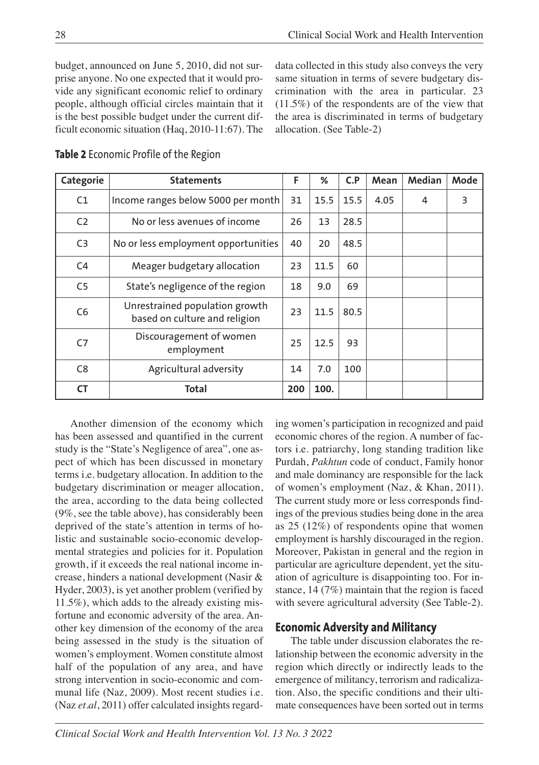budget, announced on June 5, 2010, did not surprise anyone. No one expected that it would provide any significant economic relief to ordinary people, although official circles maintain that it is the best possible budget under the current difficult economic situation (Haq, 2010-11:67). The data collected in this study also conveys the very same situation in terms of severe budgetary discrimination with the area in particular. 23 (11.5%) of the respondents are of the view that the area is discriminated in terms of budgetary allocation. (See Table-2)

| Categorie      | <b>Statements</b>                                               | F   | %    | C.P  | Mean | Median | Mode |
|----------------|-----------------------------------------------------------------|-----|------|------|------|--------|------|
| C1             | Income ranges below 5000 per month                              | 31  | 15.5 | 15.5 | 4.05 | 4      | 3    |
| C <sub>2</sub> | No or less avenues of income                                    | 26  | 13   | 28.5 |      |        |      |
| C <sub>3</sub> | No or less employment opportunities                             | 40  | 20   | 48.5 |      |        |      |
| C <sub>4</sub> | Meager budgetary allocation                                     | 23  | 11.5 | 60   |      |        |      |
| C <sub>5</sub> | State's negligence of the region                                | 18  | 9.0  | 69   |      |        |      |
| C <sub>6</sub> | Unrestrained population growth<br>based on culture and religion | 23  | 11.5 | 80.5 |      |        |      |
| C <sub>7</sub> | Discouragement of women<br>employment                           |     | 12.5 | 93   |      |        |      |
| C <sub>8</sub> | Agricultural adversity                                          | 14  | 7.0  | 100  |      |        |      |
| <b>CT</b>      | <b>Total</b>                                                    | 200 | 100. |      |      |        |      |

**Table 2** Economic Profile of the Region

Another dimension of the economy which has been assessed and quantified in the current study is the "State's Negligence of area", one aspect of which has been discussed in monetary terms i.e. budgetary allocation. In addition to the budgetary discrimination or meager allocation, the area, according to the data being collected (9%, see the table above), has considerably been deprived of the state's attention in terms of holistic and sustainable socio-economic developmental strategies and policies for it. Population growth, if it exceeds the real national income increase, hinders a national development (Nasir & Hyder, 2003), is yet another problem (verified by 11.5%), which adds to the already existing misfortune and economic adversity of the area. Another key dimension of the economy of the area being assessed in the study is the situation of women's employment. Women constitute almost half of the population of any area, and have strong intervention in socio-economic and communal life (Naz, 2009). Most recent studies i.e. (Naz *et.al*, 2011) offer calculated insights regarding women's participation in recognized and paid economic chores of the region. A number of factors i.e. patriarchy, long standing tradition like Purdah, *Pakhtun* code of conduct, Family honor and male dominancy are responsible for the lack of women's employment (Naz, & Khan, 2011). The current study more or less corresponds findings of the previous studies being done in the area as 25 (12%) of respondents opine that women employment is harshly discouraged in the region. Moreover, Pakistan in general and the region in particular are agriculture dependent, yet the situation of agriculture is disappointing too. For instance, 14 (7%) maintain that the region is faced with severe agricultural adversity (See Table-2).

#### **Economic Adversity and Militancy**

The table under discussion elaborates the relationship between the economic adversity in the region which directly or indirectly leads to the emergence of militancy, terrorism and radicalization. Also, the specific conditions and their ultimate consequences have been sorted out in terms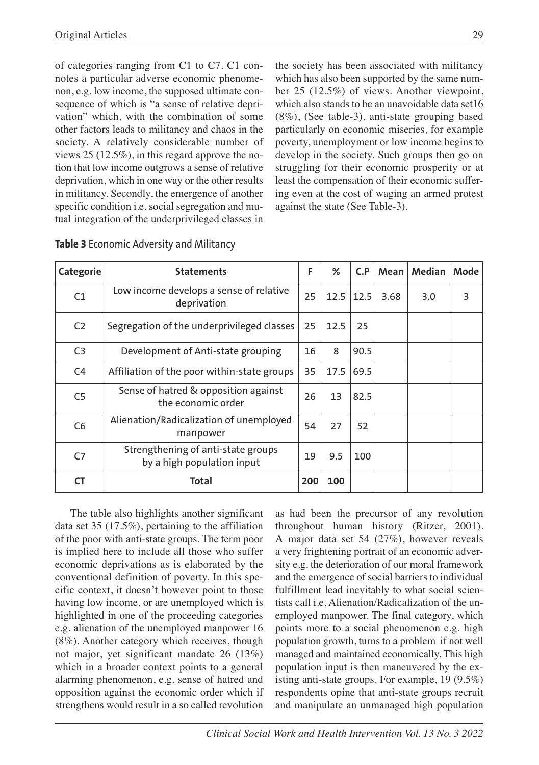of categories ranging from C1 to C7. C1 connotes a particular adverse economic phenomenon, e.g. low income, the supposed ultimate consequence of which is "a sense of relative deprivation" which, with the combination of some other factors leads to militancy and chaos in the society. A relatively considerable number of views 25 (12.5%), in this regard approve the notion that low income outgrows a sense of relative deprivation, which in one way or the other results in militancy. Secondly, the emergence of another specific condition i.e. social segregation and mutual integration of the underprivileged classes in

the society has been associated with militancy which has also been supported by the same number 25 (12.5%) of views. Another viewpoint, which also stands to be an unavoidable data set16 (8%), (See table-3), anti-state grouping based particularly on economic miseries, for example poverty, unemployment or low income begins to develop in the society. Such groups then go on struggling for their economic prosperity or at least the compensation of their economic suffering even at the cost of waging an armed protest against the state (See Table-3).

| Categorie      | <b>Statements</b>                                                | F   | ℅    | C.P  | Mean | Median | Mode |
|----------------|------------------------------------------------------------------|-----|------|------|------|--------|------|
| C1             | Low income develops a sense of relative<br>deprivation           | 25  | 12.5 | 12.5 | 3.68 | 3.0    | 3    |
| C <sub>2</sub> | Segregation of the underprivileged classes                       | 25  | 12.5 | 25   |      |        |      |
| C <sub>3</sub> | Development of Anti-state grouping                               | 16  | 8    | 90.5 |      |        |      |
| C <sub>4</sub> | Affiliation of the poor within-state groups                      | 35  | 17.5 | 69.5 |      |        |      |
| C <sub>5</sub> | Sense of hatred & opposition against<br>the economic order       | 26  | 13   | 82.5 |      |        |      |
| C <sub>6</sub> | Alienation/Radicalization of unemployed<br>manpower              | 54  | 27   | 52   |      |        |      |
| C7             | Strengthening of anti-state groups<br>by a high population input | 19  | 9.5  | 100  |      |        |      |
| <b>CT</b>      | Total                                                            | 200 | 100  |      |      |        |      |

|  | Table 3 Economic Adversity and Militancy |  |  |  |  |
|--|------------------------------------------|--|--|--|--|
|--|------------------------------------------|--|--|--|--|

The table also highlights another significant data set 35 (17.5%), pertaining to the affiliation of the poor with anti-state groups. The term poor is implied here to include all those who suffer economic deprivations as is elaborated by the conventional definition of poverty. In this specific context, it doesn't however point to those having low income, or are unemployed which is highlighted in one of the proceeding categories e.g. alienation of the unemployed manpower 16 (8%). Another category which receives, though not major, yet significant mandate 26 (13%) which in a broader context points to a general alarming phenomenon, e.g. sense of hatred and opposition against the economic order which if strengthens would result in a so called revolution

as had been the precursor of any revolution throughout human history (Ritzer, 2001). A major data set 54 (27%), however reveals a very frightening portrait of an economic adversity e.g. the deterioration of our moral framework and the emergence of social barriers to individual fulfillment lead inevitably to what social scientists call i.e. Alienation/Radicalization of the unemployed manpower. The final category, which points more to a social phenomenon e.g. high population growth, turns to a problem if not well managed and maintained economically. This high population input is then maneuvered by the existing anti-state groups. For example, 19 (9.5%) respondents opine that anti-state groups recruit and manipulate an unmanaged high population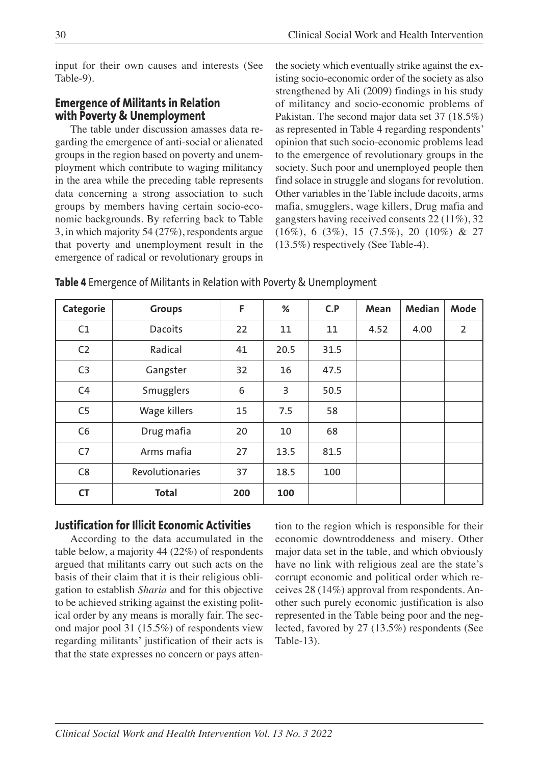input for their own causes and interests (See Table-9).

#### **Emergence of Militants in Relation with Poverty & Unemployment**

The table under discussion amasses data regarding the emergence of anti-social or alienated groups in the region based on poverty and unemployment which contribute to waging militancy in the area while the preceding table represents data concerning a strong association to such groups by members having certain socio-economic backgrounds. By referring back to Table 3, in which majority 54 (27%), respondents argue that poverty and unemployment result in the emergence of radical or revolutionary groups in the society which eventually strike against the existing socio-economic order of the society as also strengthened by Ali (2009) findings in his study of militancy and socio-economic problems of Pakistan. The second major data set 37 (18.5%) as represented in Table 4 regarding respondents' opinion that such socio-economic problems lead to the emergence of revolutionary groups in the society. Such poor and unemployed people then find solace in struggle and slogans for revolution. Other variables in the Table include dacoits, arms mafia, smugglers, wage killers, Drug mafia and gangsters having received consents 22 (11%), 32 (16%), 6 (3%), 15 (7.5%), 20 (10%) & 27 (13.5%) respectively (See Table-4).

| Categorie      | <b>Groups</b>   | F   | %    | C.P  | Mean | Median | Mode |
|----------------|-----------------|-----|------|------|------|--------|------|
| C1             | <b>Dacoits</b>  | 22  | 11   | 11   | 4.52 | 4.00   | 2    |
| C <sub>2</sub> | Radical         | 41  | 20.5 | 31.5 |      |        |      |
| C <sub>3</sub> | Gangster        | 32  | 16   | 47.5 |      |        |      |
| C <sub>4</sub> | Smugglers       | 6   | 3    | 50.5 |      |        |      |
| C <sub>5</sub> | Wage killers    | 15  | 7.5  | 58   |      |        |      |
| C <sub>6</sub> | Drug mafia      | 20  | 10   | 68   |      |        |      |
| C <sub>7</sub> | Arms mafia      | 27  | 13.5 | 81.5 |      |        |      |
| C <sub>8</sub> | Revolutionaries | 37  | 18.5 | 100  |      |        |      |
| <b>CT</b>      | <b>Total</b>    | 200 | 100  |      |      |        |      |

**Table 4** Emergence of Militants in Relation with Poverty & Unemployment

#### **Justification for Illicit Economic Activities**

According to the data accumulated in the table below, a majority 44 (22%) of respondents argued that militants carry out such acts on the basis of their claim that it is their religious obligation to establish *Sharia* and for this objective to be achieved striking against the existing political order by any means is morally fair. The second major pool 31 (15.5%) of respondents view regarding militants' justification of their acts is that the state expresses no concern or pays attention to the region which is responsible for their economic downtroddeness and misery. Other major data set in the table, and which obviously have no link with religious zeal are the state's corrupt economic and political order which receives 28 (14%) approval from respondents. Another such purely economic justification is also represented in the Table being poor and the neglected, favored by 27 (13.5%) respondents (See Table-13).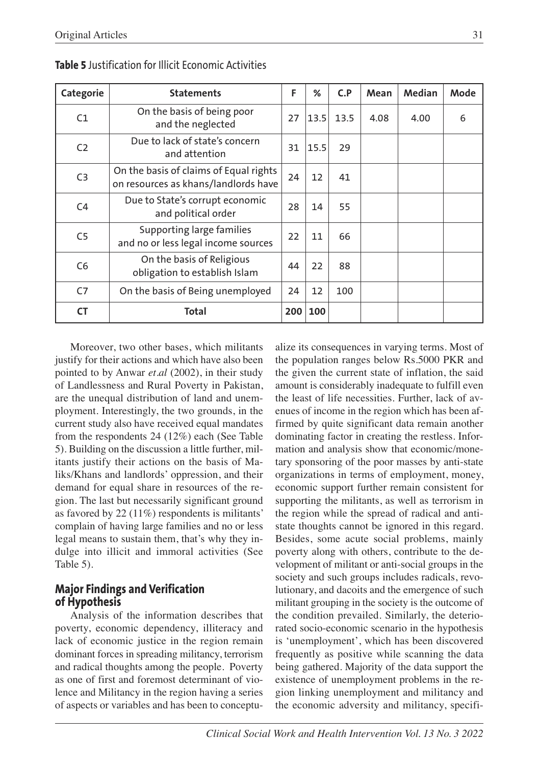| Categorie      | <b>Statements</b>                                                              | F  | %    | C.P  | Mean | Median | Mode |
|----------------|--------------------------------------------------------------------------------|----|------|------|------|--------|------|
| C1             | On the basis of being poor<br>and the neglected                                | 27 | 13.5 | 13.5 | 4.08 | 4.00   | 6    |
| C <sub>2</sub> | Due to lack of state's concern<br>and attention                                | 31 | 15.5 | 29   |      |        |      |
| C <sub>3</sub> | On the basis of claims of Equal rights<br>on resources as khans/landlords have | 24 | 12   | 41   |      |        |      |
| C <sub>4</sub> | Due to State's corrupt economic<br>and political order                         | 28 | 14   | 55   |      |        |      |
| C <sub>5</sub> | Supporting large families<br>and no or less legal income sources               | 22 | 11   | 66   |      |        |      |
| C <sub>6</sub> | On the basis of Religious<br>obligation to establish Islam                     | 44 | 22   | 88   |      |        |      |
| C <sub>7</sub> | On the basis of Being unemployed                                               | 24 | 12   | 100  |      |        |      |
| <b>CT</b>      | Total                                                                          |    | 100  |      |      |        |      |

**Table 5** Justification for Illicit Economic Activities

Moreover, two other bases, which militants justify for their actions and which have also been pointed to by Anwar *et.al* (2002), in their study of Landlessness and Rural Poverty in Pakistan, are the unequal distribution of land and unemployment. Interestingly, the two grounds, in the current study also have received equal mandates from the respondents 24 (12%) each (See Table 5). Building on the discussion a little further, militants justify their actions on the basis of Maliks/Khans and landlords' oppression, and their demand for equal share in resources of the region. The last but necessarily significant ground as favored by 22 (11%) respondents is militants' complain of having large families and no or less legal means to sustain them, that's why they indulge into illicit and immoral activities (See Table 5).

### **Major Findings and Verification of Hypothesis**

Analysis of the information describes that poverty, economic dependency, illiteracy and lack of economic justice in the region remain dominant forces in spreading militancy, terrorism and radical thoughts among the people. Poverty as one of first and foremost determinant of violence and Militancy in the region having a series of aspects or variables and has been to conceptualize its consequences in varying terms. Most of the population ranges below Rs.5000 PKR and the given the current state of inflation, the said amount is considerably inadequate to fulfill even the least of life necessities. Further, lack of avenues of income in the region which has been affirmed by quite significant data remain another dominating factor in creating the restless. Information and analysis show that economic/monetary sponsoring of the poor masses by anti-state organizations in terms of employment, money, economic support further remain consistent for supporting the militants, as well as terrorism in the region while the spread of radical and antistate thoughts cannot be ignored in this regard. Besides, some acute social problems, mainly poverty along with others, contribute to the development of militant or anti-social groups in the society and such groups includes radicals, revolutionary, and dacoits and the emergence of such militant grouping in the society is the outcome of the condition prevailed. Similarly, the deteriorated socio-economic scenario in the hypothesis is 'unemployment', which has been discovered frequently as positive while scanning the data being gathered. Majority of the data support the existence of unemployment problems in the region linking unemployment and militancy and the economic adversity and militancy, specifi-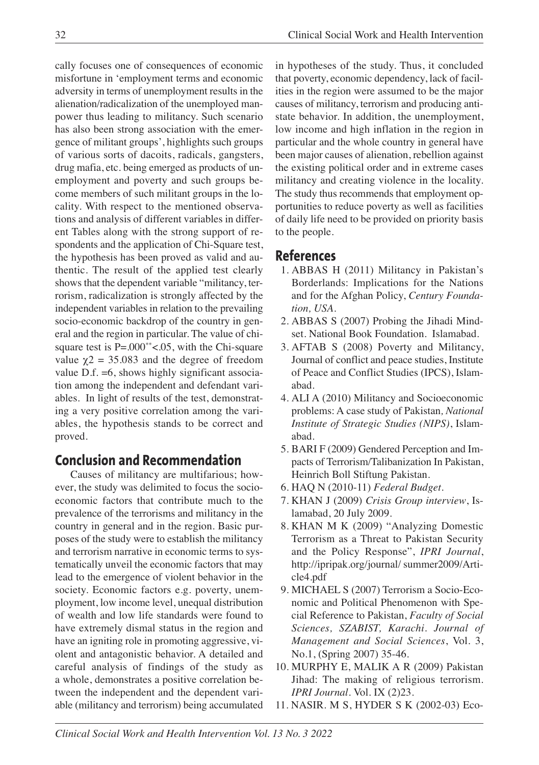cally focuses one of consequences of economic misfortune in 'employment terms and economic adversity in terms of unemployment results in the alienation/radicalization of the unemployed manpower thus leading to militancy. Such scenario has also been strong association with the emergence of militant groups', highlights such groups of various sorts of dacoits, radicals, gangsters, drug mafia, etc. being emerged as products of unemployment and poverty and such groups become members of such militant groups in the locality. With respect to the mentioned observations and analysis of different variables in different Tables along with the strong support of respondents and the application of Chi-Square test, the hypothesis has been proved as valid and authentic. The result of the applied test clearly shows that the dependent variable "militancy, terrorism, radicalization is strongly affected by the independent variables in relation to the prevailing socio-economic backdrop of the country in general and the region in particular. The value of chisquare test is P=.000<sup>\*\*</sup><.05, with the Chi-square value  $\chi$ 2 = 35.083 and the degree of freedom value D.f. =6, shows highly significant association among the independent and defendant variables. In light of results of the test, demonstrating a very positive correlation among the variables, the hypothesis stands to be correct and proved.

# **Conclusion and Recommendation**

Causes of militancy are multifarious; however, the study was delimited to focus the socioeconomic factors that contribute much to the prevalence of the terrorisms and militancy in the country in general and in the region. Basic purposes of the study were to establish the militancy and terrorism narrative in economic terms to systematically unveil the economic factors that may lead to the emergence of violent behavior in the society. Economic factors e.g. poverty, unemployment, low income level, unequal distribution of wealth and low life standards were found to have extremely dismal status in the region and have an igniting role in promoting aggressive, violent and antagonistic behavior. A detailed and careful analysis of findings of the study as a whole, demonstrates a positive correlation between the independent and the dependent variable (militancy and terrorism) being accumulated in hypotheses of the study. Thus, it concluded that poverty, economic dependency, lack of facilities in the region were assumed to be the major causes of militancy, terrorism and producing antistate behavior. In addition, the unemployment, low income and high inflation in the region in particular and the whole country in general have been major causes of alienation, rebellion against the existing political order and in extreme cases militancy and creating violence in the locality. The study thus recommends that employment opportunities to reduce poverty as well as facilities of daily life need to be provided on priority basis to the people.

# **References**

- 1. ABBAS H (2011) Militancy in Pakistan's Borderlands: Implications for the Nations and for the Afghan Policy, *Century Foundation, USA*.
- 2. ABBAS S (2007) Probing the Jihadi Mindset. National Book Foundation. Islamabad.
- 3. AFTAB S (2008) Poverty and Militancy, Journal of conflict and peace studies, Institute of Peace and Conflict Studies (IPCS), Islamabad.
- 4. ALI A (2010) Militancy and Socioeconomic problems: A case study of Pakistan*, National Institute of Strategic Studies (NIPS)*, Islamabad.
- 5. BARI F (2009) Gendered Perception and Impacts of Terrorism/Talibanization In Pakistan, Heinrich Boll Stiftung Pakistan.
- 6. HAQ N (2010-11) *Federal Budget.*
- 7. KHAN J (2009) *Crisis Group interview*, Islamabad, 20 July 2009.
- 8. KHAN M K (2009) "Analyzing Domestic Terrorism as a Threat to Pakistan Security and the Policy Response", *IPRI Journal*, http://ipripak.org/journal/ summer2009/Article4.pdf
- 9. MICHAEL S (2007) Terrorism a Socio-Economic and Political Phenomenon with Special Reference to Pakistan, *Faculty of Social Sciences, SZABIST, Karachi. Journal of Management and Social Sciences*, Vol. 3, No.1, (Spring 2007) 35-46.
- 10. MURPHY E, MALIK A R (2009) Pakistan Jihad: The making of religious terrorism. *IPRI Journal.* Vol. IX (2)23.
- 11. NASIR. M S, HYDER S K (2002-03) Eco-